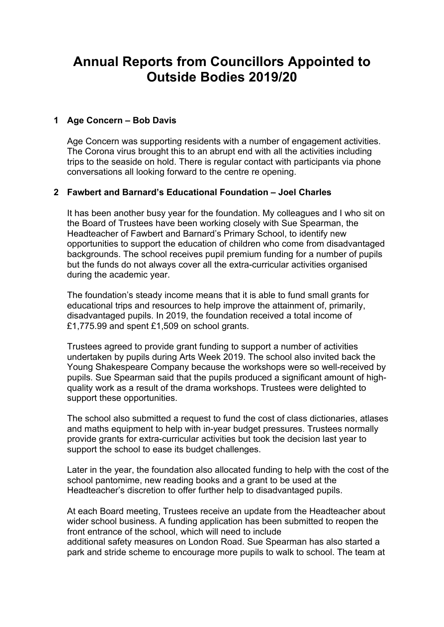# **Annual Reports from Councillors Appointed to Outside Bodies 2019/20**

## **1 Age Concern – Bob Davis**

Age Concern was supporting residents with a number of engagement activities. The Corona virus brought this to an abrupt end with all the activities including trips to the seaside on hold. There is regular contact with participants via phone conversations all looking forward to the centre re opening.

### **2 Fawbert and Barnard's Educational Foundation – Joel Charles**

It has been another busy year for the foundation. My colleagues and I who sit on the Board of Trustees have been working closely with Sue Spearman, the Headteacher of Fawbert and Barnard's Primary School, to identify new opportunities to support the education of children who come from disadvantaged backgrounds. The school receives pupil premium funding for a number of pupils but the funds do not always cover all the extra-curricular activities organised during the academic year.

The foundation's steady income means that it is able to fund small grants for educational trips and resources to help improve the attainment of, primarily, disadvantaged pupils. In 2019, the foundation received a total income of £1,775.99 and spent £1,509 on school grants.

Trustees agreed to provide grant funding to support a number of activities undertaken by pupils during Arts Week 2019. The school also invited back the Young Shakespeare Company because the workshops were so well-received by pupils. Sue Spearman said that the pupils produced a significant amount of highquality work as a result of the drama workshops. Trustees were delighted to support these opportunities.

The school also submitted a request to fund the cost of class dictionaries, atlases and maths equipment to help with in-year budget pressures. Trustees normally provide grants for extra-curricular activities but took the decision last year to support the school to ease its budget challenges.

Later in the year, the foundation also allocated funding to help with the cost of the school pantomime, new reading books and a grant to be used at the Headteacher's discretion to offer further help to disadvantaged pupils.

At each Board meeting, Trustees receive an update from the Headteacher about wider school business. A funding application has been submitted to reopen the front entrance of the school, which will need to include additional safety measures on London Road. Sue Spearman has also started a park and stride scheme to encourage more pupils to walk to school. The team at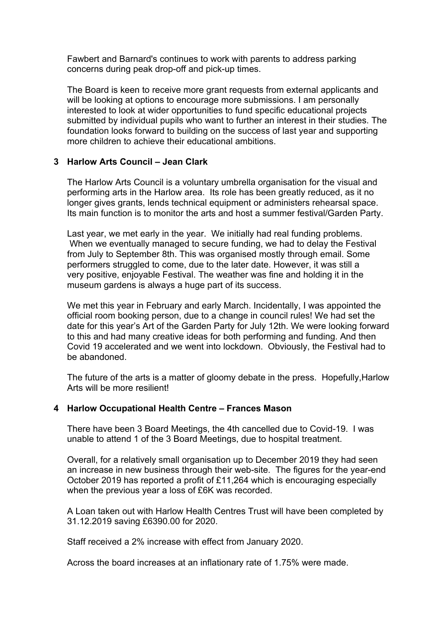Fawbert and Barnard's continues to work with parents to address parking concerns during peak drop-off and pick-up times.

The Board is keen to receive more grant requests from external applicants and will be looking at options to encourage more submissions. I am personally interested to look at wider opportunities to fund specific educational projects submitted by individual pupils who want to further an interest in their studies. The foundation looks forward to building on the success of last year and supporting more children to achieve their educational ambitions.

## **3 Harlow Arts Council – Jean Clark**

The Harlow Arts Council is a voluntary umbrella organisation for the visual and performing arts in the Harlow area. Its role has been greatly reduced, as it no longer gives grants, lends technical equipment or administers rehearsal space. Its main function is to monitor the arts and host a summer festival/Garden Party.

Last year, we met early in the year. We initially had real funding problems. When we eventually managed to secure funding, we had to delay the Festival from July to September 8th. This was organised mostly through email. Some performers struggled to come, due to the later date. However, it was still a very positive, enjoyable Festival. The weather was fine and holding it in the museum gardens is always a huge part of its success.

We met this year in February and early March. Incidentally, I was appointed the official room booking person, due to a change in council rules! We had set the date for this year's Art of the Garden Party for July 12th. We were looking forward to this and had many creative ideas for both performing and funding. And then Covid 19 accelerated and we went into lockdown. Obviously, the Festival had to be abandoned.

The future of the arts is a matter of gloomy debate in the press. Hopefully,Harlow Arts will be more resilient!

### **4 Harlow Occupational Health Centre – Frances Mason**

There have been 3 Board Meetings, the 4th cancelled due to Covid-19. I was unable to attend 1 of the 3 Board Meetings, due to hospital treatment.

Overall, for a relatively small organisation up to December 2019 they had seen an increase in new business through their web-site. The figures for the year-end October 2019 has reported a profit of £11,264 which is encouraging especially when the previous year a loss of £6K was recorded.

A Loan taken out with Harlow Health Centres Trust will have been completed by 31.12.2019 saving £6390.00 for 2020.

Staff received a 2% increase with effect from January 2020.

Across the board increases at an inflationary rate of 1.75% were made.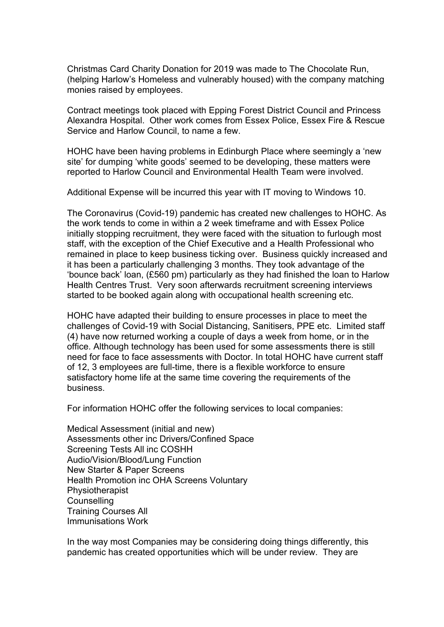Christmas Card Charity Donation for 2019 was made to The Chocolate Run, (helping Harlow's Homeless and vulnerably housed) with the company matching monies raised by employees.

Contract meetings took placed with Epping Forest District Council and Princess Alexandra Hospital. Other work comes from Essex Police, Essex Fire & Rescue Service and Harlow Council, to name a few.

HOHC have been having problems in Edinburgh Place where seemingly a 'new site' for dumping 'white goods' seemed to be developing, these matters were reported to Harlow Council and Environmental Health Team were involved.

Additional Expense will be incurred this year with IT moving to Windows 10.

The Coronavirus (Covid-19) pandemic has created new challenges to HOHC. As the work tends to come in within a 2 week timeframe and with Essex Police initially stopping recruitment, they were faced with the situation to furlough most staff, with the exception of the Chief Executive and a Health Professional who remained in place to keep business ticking over. Business quickly increased and it has been a particularly challenging 3 months. They took advantage of the 'bounce back' loan, (£560 pm) particularly as they had finished the loan to Harlow Health Centres Trust. Very soon afterwards recruitment screening interviews started to be booked again along with occupational health screening etc.

HOHC have adapted their building to ensure processes in place to meet the challenges of Covid-19 with Social Distancing, Sanitisers, PPE etc. Limited staff (4) have now returned working a couple of days a week from home, or in the office. Although technology has been used for some assessments there is still need for face to face assessments with Doctor. In total HOHC have current staff of 12, 3 employees are full-time, there is a flexible workforce to ensure satisfactory home life at the same time covering the requirements of the business.

For information HOHC offer the following services to local companies:

Medical Assessment (initial and new) Assessments other inc Drivers/Confined Space Screening Tests All inc COSHH Audio/Vision/Blood/Lung Function New Starter & Paper Screens Health Promotion inc OHA Screens Voluntary Physiotherapist **Counselling** Training Courses All Immunisations Work

In the way most Companies may be considering doing things differently, this pandemic has created opportunities which will be under review. They are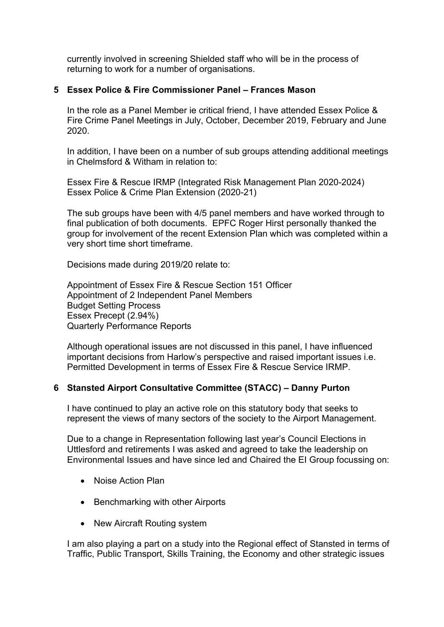currently involved in screening Shielded staff who will be in the process of returning to work for a number of organisations.

## **5 Essex Police & Fire Commissioner Panel – Frances Mason**

In the role as a Panel Member ie critical friend, I have attended Essex Police & Fire Crime Panel Meetings in July, October, December 2019, February and June 2020.

In addition, I have been on a number of sub groups attending additional meetings in Chelmsford & Witham in relation to:

Essex Fire & Rescue IRMP (Integrated Risk Management Plan 2020-2024) Essex Police & Crime Plan Extension (2020-21)

The sub groups have been with 4/5 panel members and have worked through to final publication of both documents. EPFC Roger Hirst personally thanked the group for involvement of the recent Extension Plan which was completed within a very short time short timeframe.

Decisions made during 2019/20 relate to:

Appointment of Essex Fire & Rescue Section 151 Officer Appointment of 2 Independent Panel Members Budget Setting Process Essex Precept (2.94%) Quarterly Performance Reports

Although operational issues are not discussed in this panel, I have influenced important decisions from Harlow's perspective and raised important issues i.e. Permitted Development in terms of Essex Fire & Rescue Service IRMP.

### **6 Stansted Airport Consultative Committee (STACC) – Danny Purton**

I have continued to play an active role on this statutory body that seeks to represent the views of many sectors of the society to the Airport Management.

Due to a change in Representation following last year's Council Elections in Uttlesford and retirements I was asked and agreed to take the leadership on Environmental Issues and have since led and Chaired the EI Group focussing on:

- Noise Action Plan
- Benchmarking with other Airports
- New Aircraft Routing system

I am also playing a part on a study into the Regional effect of Stansted in terms of Traffic, Public Transport, Skills Training, the Economy and other strategic issues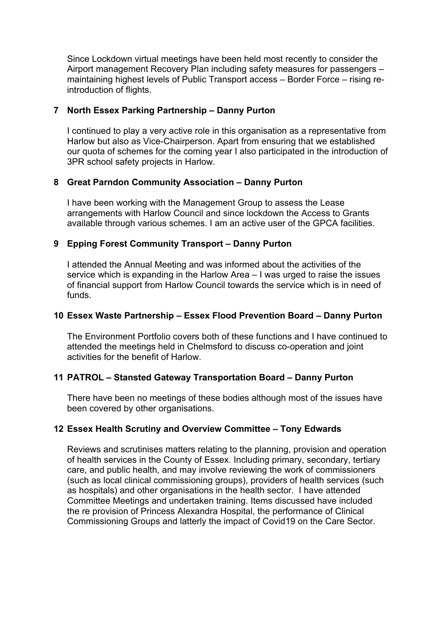Since Lockdown virtual meetings have been held most recently to consider the Airport management Recovery Plan including safety measures for passengers – maintaining highest levels of Public Transport access – Border Force – rising reintroduction of flights.

## **7 North Essex Parking Partnership – Danny Purton**

I continued to play a very active role in this organisation as a representative from Harlow but also as Vice-Chairperson. Apart from ensuring that we established our quota of schemes for the coming year I also participated in the introduction of 3PR school safety projects in Harlow.

## **8 Great Parndon Community Association – Danny Purton**

I have been working with the Management Group to assess the Lease arrangements with Harlow Council and since lockdown the Access to Grants available through various schemes. I am an active user of the GPCA facilities.

## **9 Epping Forest Community Transport – Danny Purton**

I attended the Annual Meeting and was informed about the activities of the service which is expanding in the Harlow Area – I was urged to raise the issues of financial support from Harlow Council towards the service which is in need of funds.

### **10 Essex Waste Partnership – Essex Flood Prevention Board – Danny Purton**

The Environment Portfolio covers both of these functions and I have continued to attended the meetings held in Chelmsford to discuss co-operation and joint activities for the benefit of Harlow.

# **11 PATROL – Stansted Gateway Transportation Board – Danny Purton**

There have been no meetings of these bodies although most of the issues have been covered by other organisations.

# **12 Essex Health Scrutiny and Overview Committee – Tony Edwards**

Reviews and scrutinises matters relating to the planning, provision and operation of health services in the County of Essex. Including primary, secondary, tertiary care, and public health, and may involve reviewing the work of commissioners (such as local clinical commissioning groups), providers of health services (such as hospitals) and other organisations in the health sector. I have attended Committee Meetings and undertaken training. Items discussed have included the re provision of Princess Alexandra Hospital, the performance of Clinical Commissioning Groups and latterly the impact of Covid19 on the Care Sector.